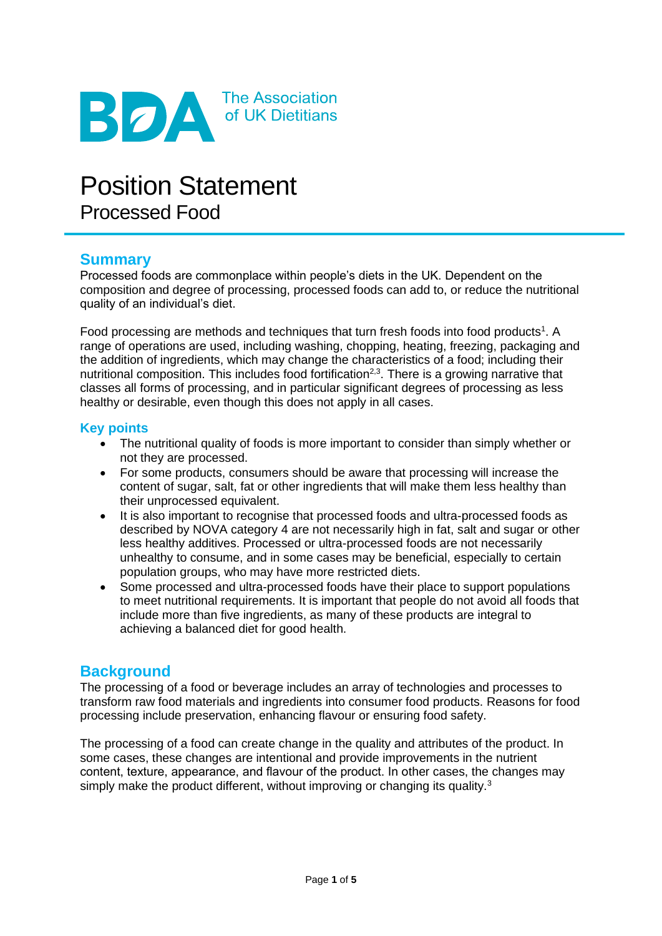

# Position Statement Processed Food

# **Summary**

Processed foods are commonplace within people's diets in the UK. Dependent on the composition and degree of processing, processed foods can add to, or reduce the nutritional quality of an individual's diet.

Food processing are methods and techniques that turn fresh foods into food products<sup>1</sup>. A range of operations are used, including washing, chopping, heating, freezing, packaging and the addition of ingredients, which may change the characteristics of a food; including their nutritional composition. This includes food fortification<sup>2,3</sup>. There is a growing narrative that classes all forms of processing, and in particular significant degrees of processing as less healthy or desirable, even though this does not apply in all cases.

#### **Key points**

- The nutritional quality of foods is more important to consider than simply whether or not they are processed.
- For some products, consumers should be aware that processing will increase the content of sugar, salt, fat or other ingredients that will make them less healthy than their unprocessed equivalent.
- It is also important to recognise that processed foods and ultra-processed foods as described by NOVA category 4 are not necessarily high in fat, salt and sugar or other less healthy additives. Processed or ultra-processed foods are not necessarily unhealthy to consume, and in some cases may be beneficial, especially to certain population groups, who may have more restricted diets.
- Some processed and ultra-processed foods have their place to support populations to meet nutritional requirements. It is important that people do not avoid all foods that include more than five ingredients, as many of these products are integral to achieving a balanced diet for good health.

# **Background**

The processing of a food or beverage includes an array of technologies and processes to transform raw food materials and ingredients into consumer food products. Reasons for food processing include preservation, enhancing flavour or ensuring food safety.

The processing of a food can create change in the quality and attributes of the product. In some cases, these changes are intentional and provide improvements in the nutrient content, texture, appearance, and flavour of the product. In other cases, the changes may simply make the product different, without improving or changing its quality.<sup>3</sup>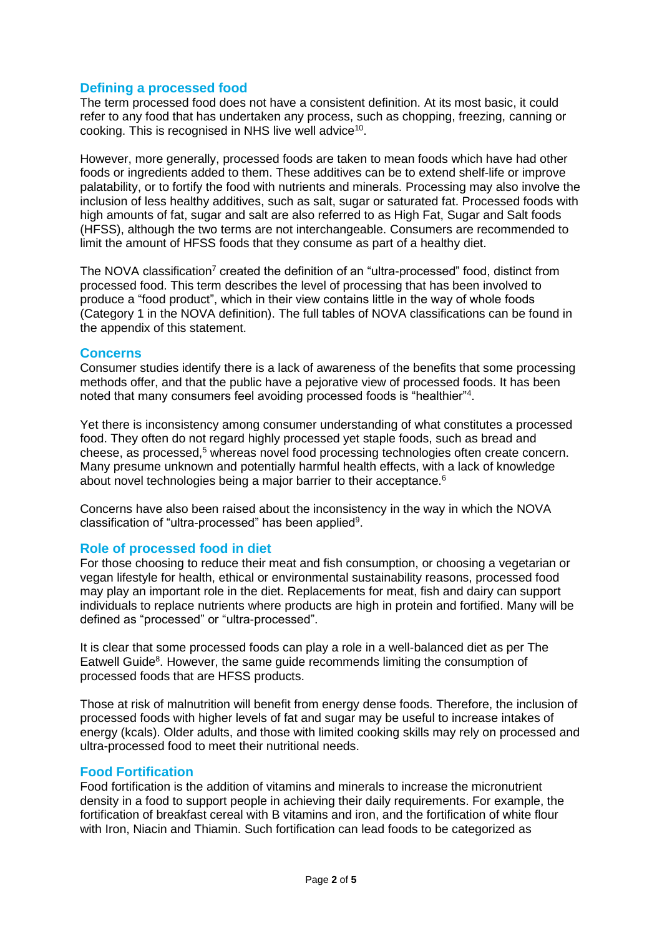### **Defining a processed food**

The term processed food does not have a consistent definition. At its most basic, it could refer to any food that has undertaken any process, such as chopping, freezing, canning or cooking. This is recognised in NHS live well advice<sup>10</sup>.

However, more generally, processed foods are taken to mean foods which have had other foods or ingredients added to them. These additives can be to extend shelf-life or improve palatability, or to fortify the food with nutrients and minerals. Processing may also involve the inclusion of less healthy additives, such as salt, sugar or saturated fat. Processed foods with high amounts of fat, sugar and salt are also referred to as High Fat, Sugar and Salt foods (HFSS), although the two terms are not interchangeable. Consumers are recommended to limit the amount of HFSS foods that they consume as part of a healthy diet.

The NOVA classification<sup>7</sup> created the definition of an "ultra-processed" food, distinct from processed food. This term describes the level of processing that has been involved to produce a "food product", which in their view contains little in the way of whole foods (Category 1 in the NOVA definition). The full tables of NOVA classifications can be found in the appendix of this statement.

#### **Concerns**

Consumer studies identify there is a lack of awareness of the benefits that some processing methods offer, and that the public have a pejorative view of processed foods. It has been noted that many consumers feel avoiding processed foods is "healthier"<sup>4</sup> .

Yet there is inconsistency among consumer understanding of what constitutes a processed food. They often do not regard highly processed yet staple foods, such as bread and cheese, as processed,<sup>5</sup> whereas novel food processing technologies often create concern. Many presume unknown and potentially harmful health effects, with a lack of knowledge about novel technologies being a major barrier to their acceptance.<sup>6</sup>

Concerns have also been raised about the inconsistency in the way in which the NOVA classification of "ultra-processed" has been applied<sup>9</sup>.

#### **Role of processed food in diet**

For those choosing to reduce their meat and fish consumption, or choosing a vegetarian or vegan lifestyle for health, ethical or environmental sustainability reasons, processed food may play an important role in the diet. Replacements for meat, fish and dairy can support individuals to replace nutrients where products are high in protein and fortified. Many will be defined as "processed" or "ultra-processed".

It is clear that some processed foods can play a role in a well-balanced diet as per The Eatwell Guide<sup>8</sup>. However, the same guide recommends limiting the consumption of processed foods that are HFSS products.

Those at risk of malnutrition will benefit from energy dense foods. Therefore, the inclusion of processed foods with higher levels of fat and sugar may be useful to increase intakes of energy (kcals). Older adults, and those with limited cooking skills may rely on processed and ultra-processed food to meet their nutritional needs.

#### **Food Fortification**

Food fortification is the addition of vitamins and minerals to increase the micronutrient density in a food to support people in achieving their daily requirements. For example, the fortification of breakfast cereal with B vitamins and iron, and the fortification of white flour with Iron, Niacin and Thiamin. Such fortification can lead foods to be categorized as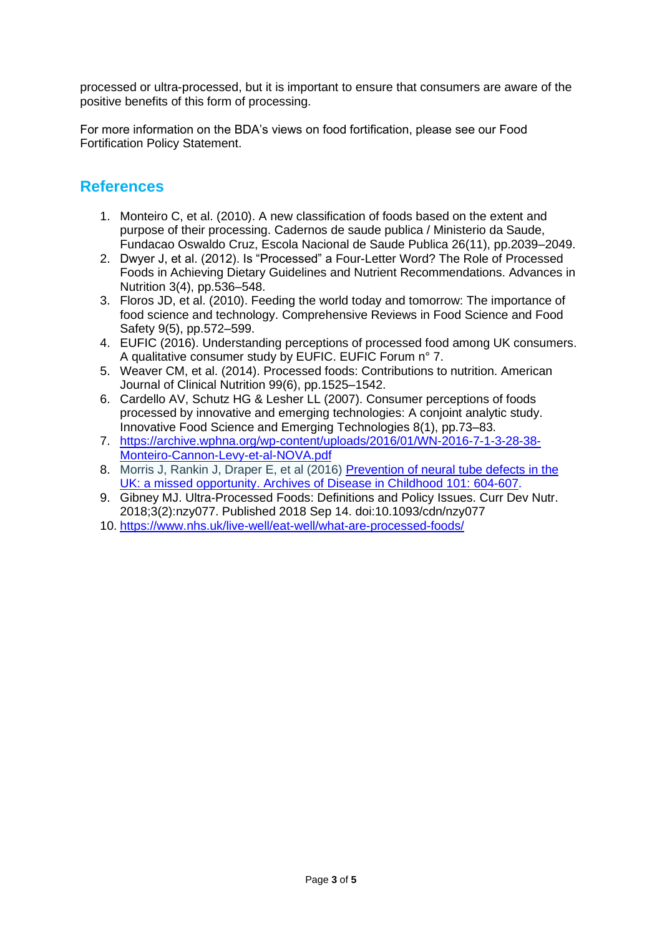processed or ultra-processed, but it is important to ensure that consumers are aware of the positive benefits of this form of processing.

For more information on the BDA's views on food fortification, please see our Food Fortification Policy Statement.

# **References**

- 1. Monteiro C, et al. (2010). A new classification of foods based on the extent and purpose of their processing. Cadernos de saude publica / Ministerio da Saude, Fundacao Oswaldo Cruz, Escola Nacional de Saude Publica 26(11), pp.2039–2049.
- 2. Dwyer J, et al. (2012). Is "Processed" a Four-Letter Word? The Role of Processed Foods in Achieving Dietary Guidelines and Nutrient Recommendations. Advances in Nutrition 3(4), pp.536–548.
- 3. Floros JD, et al. (2010). Feeding the world today and tomorrow: The importance of food science and technology. Comprehensive Reviews in Food Science and Food Safety 9(5), pp.572–599.
- 4. EUFIC (2016). Understanding perceptions of processed food among UK consumers. A qualitative consumer study by EUFIC. EUFIC Forum n° 7.
- 5. Weaver CM, et al. (2014). Processed foods: Contributions to nutrition. American Journal of Clinical Nutrition 99(6), pp.1525–1542.
- 6. Cardello AV, Schutz HG & Lesher LL (2007). Consumer perceptions of foods processed by innovative and emerging technologies: A conjoint analytic study. Innovative Food Science and Emerging Technologies 8(1), pp.73–83.
- 7. [https://archive.wphna.org/wp-content/uploads/2016/01/WN-2016-7-1-3-28-38-](https://archive.wphna.org/wp-content/uploads/2016/01/WN-2016-7-1-3-28-38-Monteiro-Cannon-Levy-et-al-NOVA.pdf) [Monteiro-Cannon-Levy-et-al-NOVA.pdf](https://archive.wphna.org/wp-content/uploads/2016/01/WN-2016-7-1-3-28-38-Monteiro-Cannon-Levy-et-al-NOVA.pdf)
- 8. Morris J, Rankin J, Draper E, et al (2016) [Prevention of neural tube defects in the](https://www.bda.uk.com/admin/cms2/page/adc.bmj.com/content/101/7/604)  [UK: a missed opportunity. Archives of Disease in Childhood 101: 604-607.](https://www.bda.uk.com/admin/cms2/page/adc.bmj.com/content/101/7/604)
- 9. Gibney MJ. Ultra-Processed Foods: Definitions and Policy Issues. Curr Dev Nutr. 2018;3(2):nzy077. Published 2018 Sep 14. doi:10.1093/cdn/nzy077
- 10. <https://www.nhs.uk/live-well/eat-well/what-are-processed-foods/>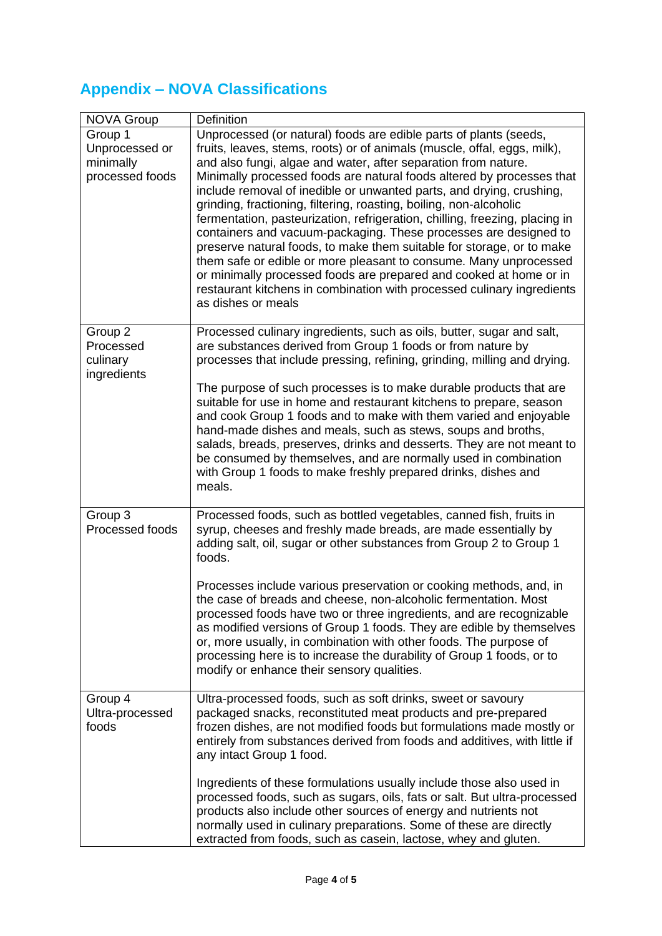# **Appendix – NOVA Classifications**

| NOVA Group                                                | Definition                                                                                                                                                                                                                                                                                                                                                                                                                                                                                                                                                                                                                                                                                                                                                                                                                                                                                                    |
|-----------------------------------------------------------|---------------------------------------------------------------------------------------------------------------------------------------------------------------------------------------------------------------------------------------------------------------------------------------------------------------------------------------------------------------------------------------------------------------------------------------------------------------------------------------------------------------------------------------------------------------------------------------------------------------------------------------------------------------------------------------------------------------------------------------------------------------------------------------------------------------------------------------------------------------------------------------------------------------|
| Group 1<br>Unprocessed or<br>minimally<br>processed foods | Unprocessed (or natural) foods are edible parts of plants (seeds,<br>fruits, leaves, stems, roots) or of animals (muscle, offal, eggs, milk),<br>and also fungi, algae and water, after separation from nature.<br>Minimally processed foods are natural foods altered by processes that<br>include removal of inedible or unwanted parts, and drying, crushing,<br>grinding, fractioning, filtering, roasting, boiling, non-alcoholic<br>fermentation, pasteurization, refrigeration, chilling, freezing, placing in<br>containers and vacuum-packaging. These processes are designed to<br>preserve natural foods, to make them suitable for storage, or to make<br>them safe or edible or more pleasant to consume. Many unprocessed<br>or minimally processed foods are prepared and cooked at home or in<br>restaurant kitchens in combination with processed culinary ingredients<br>as dishes or meals |
| Group 2<br>Processed<br>culinary<br>ingredients           | Processed culinary ingredients, such as oils, butter, sugar and salt,<br>are substances derived from Group 1 foods or from nature by<br>processes that include pressing, refining, grinding, milling and drying.                                                                                                                                                                                                                                                                                                                                                                                                                                                                                                                                                                                                                                                                                              |
|                                                           | The purpose of such processes is to make durable products that are<br>suitable for use in home and restaurant kitchens to prepare, season<br>and cook Group 1 foods and to make with them varied and enjoyable<br>hand-made dishes and meals, such as stews, soups and broths,<br>salads, breads, preserves, drinks and desserts. They are not meant to<br>be consumed by themselves, and are normally used in combination<br>with Group 1 foods to make freshly prepared drinks, dishes and<br>meals.                                                                                                                                                                                                                                                                                                                                                                                                        |
| Group 3<br>Processed foods                                | Processed foods, such as bottled vegetables, canned fish, fruits in<br>syrup, cheeses and freshly made breads, are made essentially by<br>adding salt, oil, sugar or other substances from Group 2 to Group 1<br>foods.                                                                                                                                                                                                                                                                                                                                                                                                                                                                                                                                                                                                                                                                                       |
|                                                           | Processes include various preservation or cooking methods, and, in<br>the case of breads and cheese, non-alcoholic fermentation. Most<br>processed foods have two or three ingredients, and are recognizable<br>as modified versions of Group 1 foods. They are edible by themselves<br>or, more usually, in combination with other foods. The purpose of<br>processing here is to increase the durability of Group 1 foods, or to<br>modify or enhance their sensory qualities.                                                                                                                                                                                                                                                                                                                                                                                                                              |
| Group 4<br>Ultra-processed<br>foods                       | Ultra-processed foods, such as soft drinks, sweet or savoury<br>packaged snacks, reconstituted meat products and pre-prepared<br>frozen dishes, are not modified foods but formulations made mostly or<br>entirely from substances derived from foods and additives, with little if<br>any intact Group 1 food.                                                                                                                                                                                                                                                                                                                                                                                                                                                                                                                                                                                               |
|                                                           | Ingredients of these formulations usually include those also used in<br>processed foods, such as sugars, oils, fats or salt. But ultra-processed<br>products also include other sources of energy and nutrients not<br>normally used in culinary preparations. Some of these are directly<br>extracted from foods, such as casein, lactose, whey and gluten.                                                                                                                                                                                                                                                                                                                                                                                                                                                                                                                                                  |